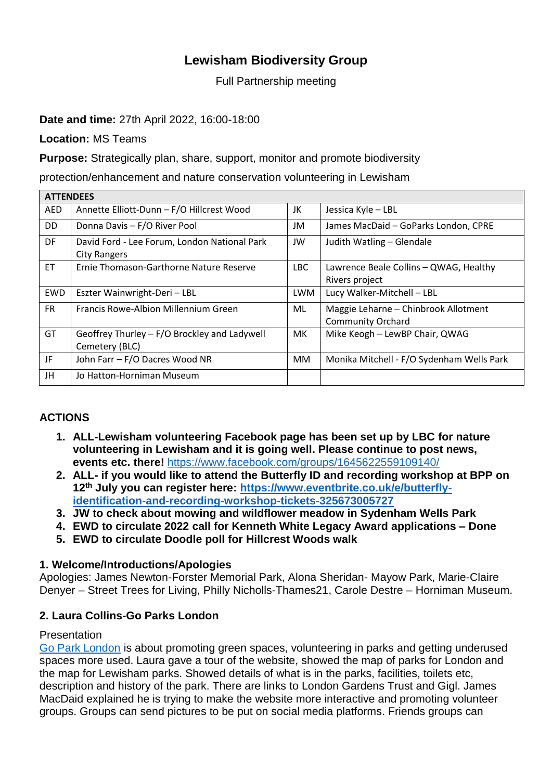# **Lewisham Biodiversity Group**

Full Partnership meeting

#### **Date and time:** 27th April 2022, 16:00-18:00

**Location:** MS Teams

**Purpose:** Strategically plan, share, support, monitor and promote biodiversity

protection/enhancement and nature conservation volunteering in Lewisham

| <b>ATTENDEES</b> |                                                                     |            |                                                                  |
|------------------|---------------------------------------------------------------------|------------|------------------------------------------------------------------|
| <b>AED</b>       | Annette Elliott-Dunn - F/O Hillcrest Wood                           | JK         | Jessica Kyle - LBL                                               |
| DD               | Donna Davis - F/O River Pool                                        | JM         | James MacDaid - GoParks London, CPRE                             |
| DF               | David Ford - Lee Forum, London National Park<br><b>City Rangers</b> | JW         | Judith Watling - Glendale                                        |
| ET.              | Ernie Thomason-Garthorne Nature Reserve                             | LBC        | Lawrence Beale Collins - QWAG, Healthy<br>Rivers project         |
| EWD              | Eszter Wainwright-Deri - LBL                                        | <b>LWM</b> | Lucy Walker-Mitchell - LBL                                       |
| <b>FR</b>        | Francis Rowe-Albion Millennium Green                                | ML         | Maggie Leharne - Chinbrook Allotment<br><b>Community Orchard</b> |
| GT               | Geoffrey Thurley - F/O Brockley and Ladywell<br>Cemetery (BLC)      | MК         | Mike Keogh - LewBP Chair, QWAG                                   |
| JF               | John Farr - F/O Dacres Wood NR                                      | MМ         | Monika Mitchell - F/O Sydenham Wells Park                        |
| JH               | Jo Hatton-Horniman Museum                                           |            |                                                                  |

# **ACTIONS**

- **1. ALL-Lewisham volunteering Facebook page has been set up by LBC for nature volunteering in Lewisham and it is going well. Please continue to post news, events etc. there!** <https://www.facebook.com/groups/1645622559109140/>
- **2. ALL- if you would like to attend the Butterfly ID and recording workshop at BPP on 12th July you can register here: [https://www.eventbrite.co.uk/e/butterfly](https://www.eventbrite.co.uk/e/butterfly-identification-and-recording-workshop-tickets-325673005727)[identification-and-recording-workshop-tickets-325673005727](https://www.eventbrite.co.uk/e/butterfly-identification-and-recording-workshop-tickets-325673005727)**
- **3. JW to check about mowing and wildflower meadow in Sydenham Wells Park**
- **4. EWD to circulate 2022 call for Kenneth White Legacy Award applications – Done**
- **5. EWD to circulate Doodle poll for Hillcrest Woods walk**

# **1. Welcome/Introductions/Apologies**

Apologies: James Newton-Forster Memorial Park, Alona Sheridan- Mayow Park, Marie-Claire Denyer – Street Trees for Living, Philly Nicholls-Thames21, Carole Destre – Horniman Museum.

#### **2. Laura Collins-Go Parks London**

#### **Presentation**

[Go Park London](https://www.goparks.london/boroughs/lewisham) is about promoting green spaces, volunteering in parks and getting underused spaces more used. Laura gave a tour of the website, showed the map of parks for London and the map for Lewisham parks. Showed details of what is in the parks, facilities, toilets etc, description and history of the park. There are links to London Gardens Trust and Gigl. James MacDaid explained he is trying to make the website more interactive and promoting volunteer groups. Groups can send pictures to be put on social media platforms. Friends groups can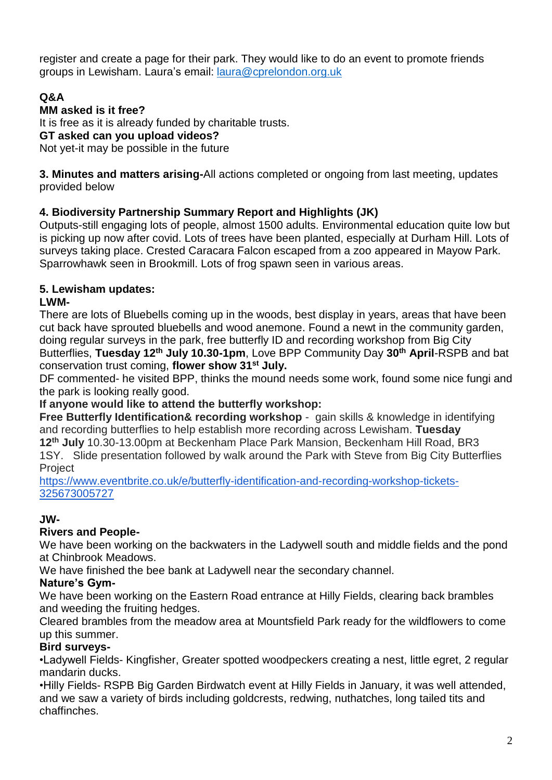register and create a page for their park. They would like to do an event to promote friends groups in Lewisham. Laura's email: [laura@cprelondon.org.uk](mailto:laura@cprelondon.org.uk)

# **Q&A**

### **MM asked is it free?**

It is free as it is already funded by charitable trusts.

#### **GT asked can you upload videos?**

Not yet-it may be possible in the future

**3. Minutes and matters arising-**All actions completed or ongoing from last meeting, updates provided below

### **4. Biodiversity Partnership Summary Report and Highlights (JK)**

Outputs-still engaging lots of people, almost 1500 adults. Environmental education quite low but is picking up now after covid. Lots of trees have been planted, especially at Durham Hill. Lots of surveys taking place. Crested Caracara Falcon escaped from a zoo appeared in Mayow Park. Sparrowhawk seen in Brookmill. Lots of frog spawn seen in various areas.

# **5. Lewisham updates:**

#### **LWM-**

There are lots of Bluebells coming up in the woods, best display in years, areas that have been cut back have sprouted bluebells and wood anemone. Found a newt in the community garden, doing regular surveys in the park, free butterfly ID and recording workshop from Big City Butterflies, **Tuesday 12th July 10.30-1pm**, Love BPP Community Day **30th April**-RSPB and bat conservation trust coming, **flower show 31st July.**

DF commented- he visited BPP, thinks the mound needs some work, found some nice fungi and the park is looking really good.

#### **If anyone would like to attend the butterfly workshop:**

**Free Butterfly Identification& recording workshop** - gain skills & knowledge in identifying and recording butterflies to help establish more recording across Lewisham. **Tuesday 12th July** 10.30-13.00pm at Beckenham Place Park Mansion, Beckenham Hill Road, BR3 1SY. Slide presentation followed by walk around the Park with Steve from Big City Butterflies **Project** 

[https://www.eventbrite.co.uk/e/butterfly-identification-and-recording-workshop-tickets-](https://www.eventbrite.co.uk/e/butterfly-identification-and-recording-workshop-tickets-325673005727)[325673005727](https://www.eventbrite.co.uk/e/butterfly-identification-and-recording-workshop-tickets-325673005727)

#### **JW-**

#### **Rivers and People-**

We have been working on the backwaters in the Ladywell south and middle fields and the pond at Chinbrook Meadows.

We have finished the bee bank at Ladywell near the secondary channel.

#### **Nature's Gym-**

We have been working on the Eastern Road entrance at Hilly Fields, clearing back brambles and weeding the fruiting hedges.

Cleared brambles from the meadow area at Mountsfield Park ready for the wildflowers to come up this summer.

#### **Bird surveys-**

•Ladywell Fields- Kingfisher, Greater spotted woodpeckers creating a nest, little egret, 2 regular mandarin ducks.

•Hilly Fields- RSPB Big Garden Birdwatch event at Hilly Fields in January, it was well attended, and we saw a variety of birds including goldcrests, redwing, nuthatches, long tailed tits and chaffinches.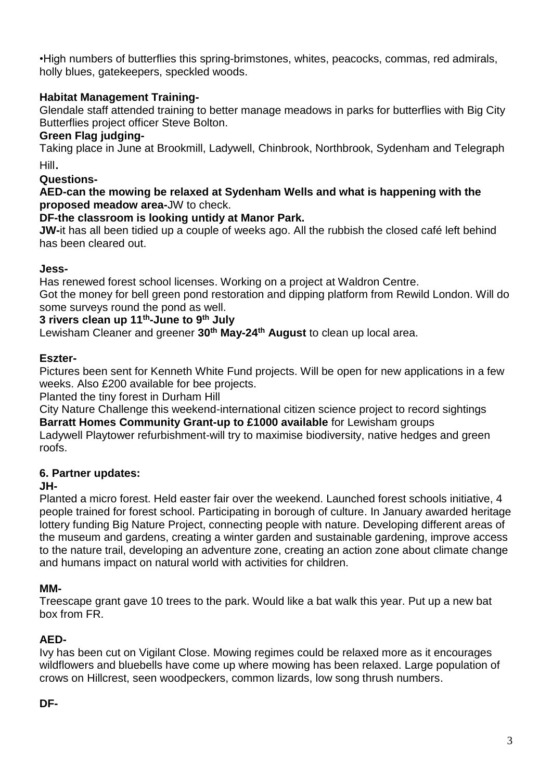•High numbers of butterflies this spring-brimstones, whites, peacocks, commas, red admirals, holly blues, gatekeepers, speckled woods.

# **Habitat Management Training-**

Glendale staff attended training to better manage meadows in parks for butterflies with Big City Butterflies project officer Steve Bolton.

#### **Green Flag judging-**

Taking place in June at Brookmill, Ladywell, Chinbrook, Northbrook, Sydenham and Telegraph Hill.

#### **Questions-**

**AED-can the mowing be relaxed at Sydenham Wells and what is happening with the proposed meadow area-**JW to check.

#### **DF-the classroom is looking untidy at Manor Park.**

**JW-**it has all been tidied up a couple of weeks ago. All the rubbish the closed café left behind has been cleared out.

#### **Jess-**

Has renewed forest school licenses. Working on a project at Waldron Centre.

Got the money for bell green pond restoration and dipping platform from Rewild London. Will do some surveys round the pond as well.

#### **3 rivers clean up 11th-June to 9th July**

Lewisham Cleaner and greener **30th May-24th August** to clean up local area.

### **Eszter-**

Pictures been sent for Kenneth White Fund projects. Will be open for new applications in a few weeks. Also £200 available for bee projects.

Planted the tiny forest in Durham Hill

City Nature Challenge this weekend-international citizen science project to record sightings **Barratt Homes Community Grant-up to £1000 available** for Lewisham groups

Ladywell Playtower refurbishment-will try to maximise biodiversity, native hedges and green roofs.

#### **6. Partner updates:**

#### **JH-**

Planted a micro forest. Held easter fair over the weekend. Launched forest schools initiative, 4 people trained for forest school. Participating in borough of culture. In January awarded heritage lottery funding Big Nature Project, connecting people with nature. Developing different areas of the museum and gardens, creating a winter garden and sustainable gardening, improve access to the nature trail, developing an adventure zone, creating an action zone about climate change and humans impact on natural world with activities for children.

#### **MM-**

Treescape grant gave 10 trees to the park. Would like a bat walk this year. Put up a new bat box from FR.

# **AED-**

Ivy has been cut on Vigilant Close. Mowing regimes could be relaxed more as it encourages wildflowers and bluebells have come up where mowing has been relaxed. Large population of crows on Hillcrest, seen woodpeckers, common lizards, low song thrush numbers.

#### **DF-**